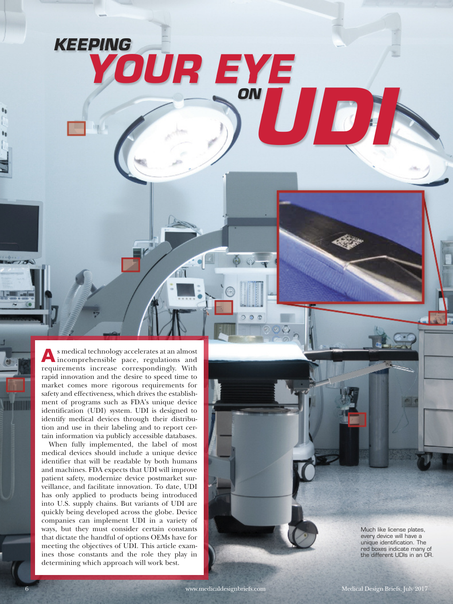**A**<sup>s</sup> medical technology accelerates at an almost incomprehensible pace, regulations and requirements increase correspondingly. With rapid innovation and the desire to speed time to market comes more rigorous requirements for safety and effectiveness, which drives the establishment of programs such as FDA's unique device identification (UDI) system. UDI is designed to identify medical devices through their distribution and use in their labeling and to report certain information via publicly accessible databases.

*KEEPING*

 $70%$ 

*YOUR EYE*

*UDI ON*

When fully implemented, the label of most medical devices should include a unique device identifier that will be readable by both humans and machines. FDA expects that UDI will improve patient safety, modernize device postmarket surveillance, and facilitate innovation. To date, UDI has only applied to products being introduced into U.S. supply chains. But variants of UDI are quickly being developed across the globe. Device companies can implement UDI in a variety of ways, but they must consider certain constants that dictate the handful of options OEMs have for meeting the objectives of UDI. This article examines those constants and the role they play in determining which approach will work best.

Much like license plates, every device will have a unique identification. The red boxes indicate many of the different UDIs in an OR.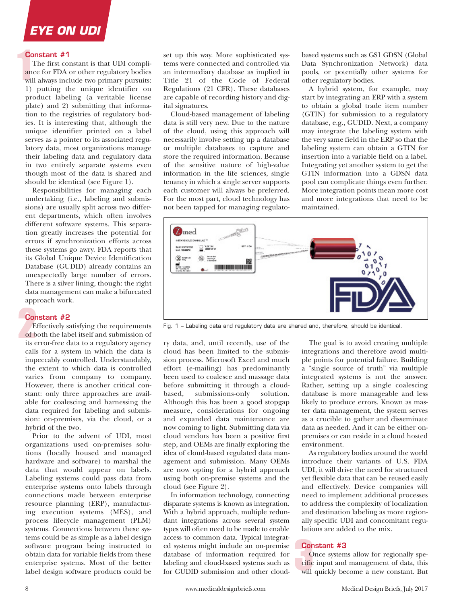## **Constant #1**

The first constant is that UDI compliance for FDA or other regulatory bodies will always include two primary pursuits: 1) putting the unique identifier on product labeling (a veritable license plate) and 2) submitting that information to the registries of regulatory bodies. It is interesting that, although the unique identifier printed on a label serves as a pointer to its associated regulatory data, most organizations manage their labeling data and regulatory data in two entirely separate systems even though most of the data is shared and should be identical (see Figure 1).

Responsibilities for managing each undertaking (i.e., labeling and submissions) are usually split across two different departments, which often involves different software systems. This separation greatly increases the potential for errors if synchronization efforts across these systems go awry. FDA reports that its Global Unique Device Identification Database (GUDID) already contains an unexpectedly large number of errors. There is a silver lining, though: the right data management can make a bifurcated approach work.

## **Constant #2**

Effectively satisfying the requirements of both the label itself and submission of its error-free data to a regulatory agency calls for a system in which the data is impeccably controlled. Understandably, the extent to which data is controlled varies from company to company. However, there is another critical constant: only three approaches are available for coalescing and harnessing the data required for labeling and submission: on-premises, via the cloud, or a hybrid of the two.

Prior to the advent of UDI, most organizations used on-premises solutions (locally housed and managed hardware and software) to marshal the data that would appear on labels. Labeling systems could pass data from enterprise systems onto labels through connections made between enterprise resource planning (ERP), manufacturing execution systems (MES), and process lifecycle management (PLM) systems. Connections between these systems could be as simple as a label design software program being instructed to obtain data for variable fields from these enterprise systems. Most of the better label design software products could be set up this way. More sophisticated systems were connected and controlled via an intermediary database as implied in Title 21 of the Code of Federal Regulations (21 CFR). These databases are capable of recording history and digital signatures.

Cloud-based management of labeling data is still very new. Due to the nature of the cloud, using this approach will necessarily involve setting up a database or multiple databases to capture and store the required information. Because of the sensitive nature of high-value information in the life sciences, single tenancy in which a single server supports each customer will always be preferred. For the most part, cloud technology has not been tapped for managing regulatobased systems such as GS1 GDSN (Global Data Synchronization Network) data pools, or potentially other systems for other regulatory bodies.

A hybrid system, for example, may start by integrating an ERP with a system to obtain a global trade item number (GTIN) for submission to a regulatory database, e.g., GUDID. Next, a company may integrate the labeling system with the very same field in the ERP so that the labeling system can obtain a GTIN for insertion into a variable field on a label. Integrating yet another system to get the GTIN information into a GDSN data pool can complicate things even further. More integration points mean more cost and more integrations that need to be maintained.



Fig. 1 – Labeling data and regulatory data are shared and, therefore, should be identical.

ry data, and, until recently, use of the cloud has been limited to the submission process. Microsoft Excel and much effort (e-mailing) has predominantly been used to coalesce and massage data before submitting it through a cloudbased, submissions-only solution. Although this has been a good stopgap measure, considerations for ongoing and expanded data maintenance are now coming to light. Submitting data via cloud vendors has been a positive first step, and OEMs are finally exploring the idea of cloud-based regulated data management and submission. Many OEMs are now opting for a hybrid approach using both on-premise systems and the cloud (see Figure 2).

In information technology, connecting disparate systems is known as integration. With a hybrid approach, multiple redundant integrations across several system types will often need to be made to enable access to common data. Typical integrated systems might include an on-premise database of information required for labeling and cloud-based systems such as for GUDID submission and other cloud-

The goal is to avoid creating multiple integrations and therefore avoid multiple points for potential failure. Building a "single source of truth" via multiple integrated systems is not the answer. Rather, setting up a single coalescing database is more manageable and less likely to produce errors. Known as master data management, the system serves as a crucible to gather and disseminate data as needed. And it can be either onpremises or can reside in a cloud hosted environment.

As regulatory bodies around the world introduce their variants of U.S. FDA UDI, it will drive the need for structured yet flexible data that can be reused easily and effectively. Device companies will need to implement additional processes to address the complexity of localization and destination labeling as more regionally specific UDI and concomitant regulations are added to the mix.

# **Constant #3**

Once systems allow for regionally specific input and management of data, this will quickly become a new constant. But